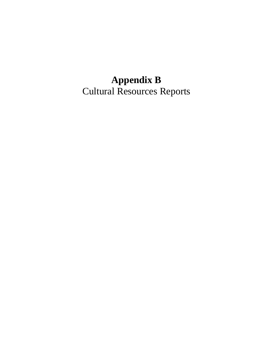## **Appendix B**  Cultural Resources Reports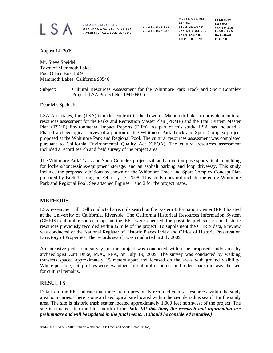

LSA ASSOCIATES, INC. 1500 IOWA AVENUE, SUITE 200 RIVERSIDE, CALIFORNIA 92507 951.781.9310 TEL 951.781.4277 FAX

OTHER OFFICES: IRVINE PT. RICHMOND SAN LUIS OBISPO PALM SPRINGS FORT COLLINS

BERKELEY ROCKLIN SOUTH SAN FRANCISCO CARLSBAD FRESNO

August 14, 2009

Mr. Steve Speidel Town of Mammoth Lakes Post Office Box 1609 Mammoth Lakes, California 93546

Subject: Cultural Resources Assessment for the Whitmore Park Track and Sport Complex Project (LSA Project No. TML0901)

Dear Mr. Speidel:

LSA Associates, Inc. (LSA) is under contract to the Town of Mammoth Lakes to provide a cultural resources assessment for the Parks and Recreation Master Plan (PRMP) and the Trail System Master Plan (TSMP) Environmental Impact Reports (EIRs). As part of this study, LSA has included a Phase I archaeological survey of a portion of the Whitmore Park Track and Sport Complex project proposed at the Whitmore Park and Regional Pool. The cultural resources assessment was completed pursuant to California Environmental Quality Act (CEQA). The cultural resources assessment included a record search and field survey of the project area.

The Whitmore Park Track and Sport Complex project will add a multipurpose sports field, a building for lockers/concessions/equipment storage, and an asphalt parking and loop driveway. This study includes the proposed additions as shown on the Whitmore Track and Sport Complex Concept Plan prepared by Brett T. Long on February 17, 2008. This study does not include the entire Whitmore Park and Regional Pool. See attached Figures 1 and 2 for the project maps.

## **METHODS**

LSA researcher Bill Bell conducted a records search at the Eastern Information Center (EIC) located at the University of California, Riverside. The California Historical Resources Information System (CHRIS) cultural resource maps at the EIC were checked for possible prehistoric and historic resources previously recorded within ¼ mile of the project. To supplement the CHRIS data, a review was conducted of the National Register of Historic Places Index and Office of Historic Preservation Directory of Properties. The records search was conducted in July 2009.

An intensive pedestrian-survey for the project was conducted within the proposed study area by archaeologist Curt Duke, M.A., RPA, on July 19, 2009. The survey was conducted by walking transects spaced approximately 15 meters apart and focused on the areas with ground visibility. Where possible, soil profiles were examined for cultural resources and rodent back dirt was checked for cultural remains.

## **RESULTS**

Data from the EIC indicate that there are no previously recorded cultural resources within the study area boundaries. There is one archaeological site located within the ¼-mile radius search for the study area. The site is historic trash scatter located approximately 1,000 feet northwest of the project. The site is situated atop the bluff north of the Park. *[At this time, the research and information are preliminary and will be updated in the final memo. It should be considered tentative.]*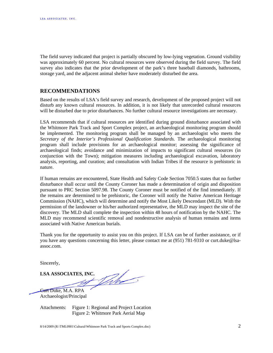The field survey indicated that project is partially obscured by low-lying vegetation. Ground visibility was approximately 60 percent. No cultural resources were observed during the field survey. The field survey also indicates that the prior development of the park's three baseball diamonds, bathrooms, storage yard, and the adjacent animal shelter have moderately disturbed the area.

## **RECOMMENDATIONS**

Based on the results of LSA's field survey and research, development of the proposed project will not disturb any known cultural resources. In addition, it is not likely that unrecorded cultural resources will be disturbed due to prior disturbances. No further cultural resource investigations are necessary.

LSA recommends that if cultural resources are identified during ground disturbance associated with the Whitmore Park Track and Sport Complex project, an archaeological monitoring program should be implemented. The monitoring program shall be managed by an archaeologist who meets the *Secretary of the Interior's Professional Qualification Standards.* The archaeological monitoring program shall include provisions for an archaeological monitor; assessing the significance of archaeological finds; avoidance and minimization of impacts to significant cultural resources (in conjunction with the Town); mitigation measures including archaeological excavation, laboratory analysis, reporting, and curation; and consultation with Indian Tribes if the resource is prehistoric in nature.

If human remains are encountered, State Health and Safety Code Section 7050.5 states that no further disturbance shall occur until the County Coroner has made a determination of origin and disposition pursuant to PRC Section 5097.98. The County Coroner must be notified of the find immediately. If the remains are determined to be prehistoric, the Coroner will notify the Native American Heritage Commission (NAHC), which will determine and notify the Most Likely Descendant (MLD). With the permission of the landowner or his/her authorized representative, the MLD may inspect the site of the discovery. The MLD shall complete the inspection within 48 hours of notification by the NAHC. The MLD may recommend scientific removal and nondestructive analysis of human remains and items associated with Native American burials.

Thank you for the opportunity to assist you on this project. If LSA can be of further assistance, or if you have any questions concerning this letter, please contact me at (951) 781-9310 or curt.duke@lsaassoc.com.

Sincerely,

LSA ASSOCIATES, INC.

Curt Duke, M.A. RPA Archaeologist/Principal

Attachments: Figure 1: Regional and Project Location Figure 2: Whitmore Park Aerial Map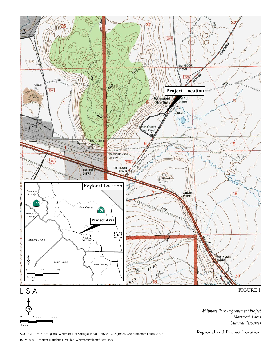

I:\TML0901\Reports\Cultural\fig1\_reg\_loc\_WhitmorePark.mxd (08/14/09)